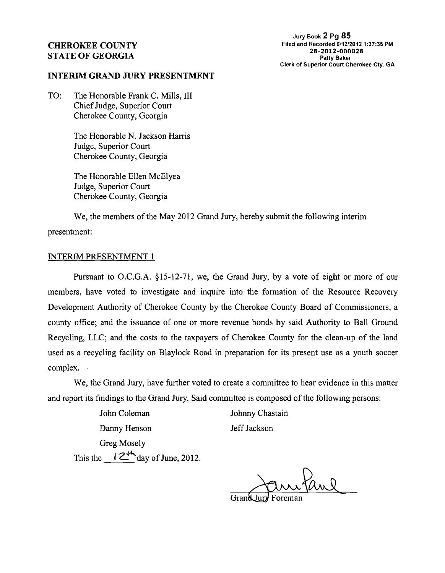## CHEROKEE COUNTY STATE OF GEORGIA

**Jury Book 2 Pg 85 Filed and Recorded 6/12/2012 13735 PM 28-2012-000028 Patty Baker Clerk of Superior Court Cherokee Cty, GA** 

#### INTERIM GRAND JURY PRESENTMENT

TO: The Honorable Frank C. Mills, 111 Chief Judge, Superior Court Cherokee County, Georgia

> The Honorable N. Jackson Harris Judge, Superior Court Cherokee County, Georgia

The Honorable Ellen McElyea Judge, Superior Court Cherokee County, Georgia

We, the members of the May 2012 Grand Jury, hereby submit the following interim presentment:

# INTERIM PRESENTMENT 1

Pursuant to O.C.G.A. 815-12-71, we, the Grand Jury, by a vote of eight or more of our members, have voted to investigate and inquire into the formation of the Resource Recovery Development Authority of Cherokee County by the Cherokee County Board of Commissioners, a county office; and the issuance of one or more revenue bonds by said Authority to Ball Ground Recycling, LLC; and the costs to the taxpayers of Cherokee County for the clean-up of the land used as a recycling facility on Blaylock Road in preparation for its present use as a youth soccer complex.

We, the Grand Jury, have further voted to create a committee to hear evidence in this matter and report its findings to the Grand Jury. Said committee is composed of the following persons:

John Coleman Johnny Chastain Danny Henson Jeff Jackson Greg Mosely This the  $12^{44}$  day of June, 2012.

utanl

Grand Jury Foreman